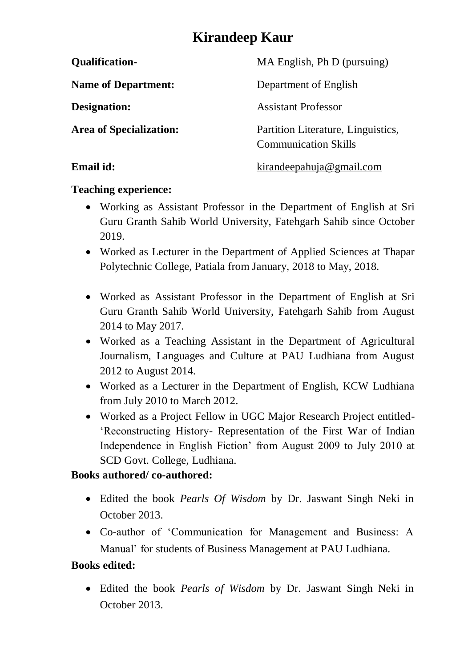# **Kirandeep Kaur**

| <b>Qualification-</b>          | MA English, Ph D (pursuing)                                       |
|--------------------------------|-------------------------------------------------------------------|
| <b>Name of Department:</b>     | Department of English                                             |
| Designation:                   | <b>Assistant Professor</b>                                        |
| <b>Area of Specialization:</b> | Partition Literature, Linguistics,<br><b>Communication Skills</b> |
| Email id:                      | kirandeepahuja@gmail.com                                          |

#### **Teaching experience:**

- Working as Assistant Professor in the Department of English at Sri Guru Granth Sahib World University, Fatehgarh Sahib since October 2019.
- Worked as Lecturer in the Department of Applied Sciences at Thapar Polytechnic College, Patiala from January, 2018 to May, 2018.
- Worked as Assistant Professor in the Department of English at Sri Guru Granth Sahib World University, Fatehgarh Sahib from August 2014 to May 2017.
- Worked as a Teaching Assistant in the Department of Agricultural Journalism, Languages and Culture at PAU Ludhiana from August 2012 to August 2014.
- Worked as a Lecturer in the Department of English, KCW Ludhiana from July 2010 to March 2012.
- Worked as a Project Fellow in UGC Major Research Project entitled- 'Reconstructing History- Representation of the First War of Indian Independence in English Fiction' from August 2009 to July 2010 at SCD Govt. College, Ludhiana.

## **Books authored/ co-authored:**

- Edited the book *Pearls Of Wisdom* by Dr. Jaswant Singh Neki in October 2013.
- Co-author of 'Communication for Management and Business: A Manual' for students of Business Management at PAU Ludhiana.

## **Books edited:**

 Edited the book *Pearls of Wisdom* by Dr. Jaswant Singh Neki in October 2013.